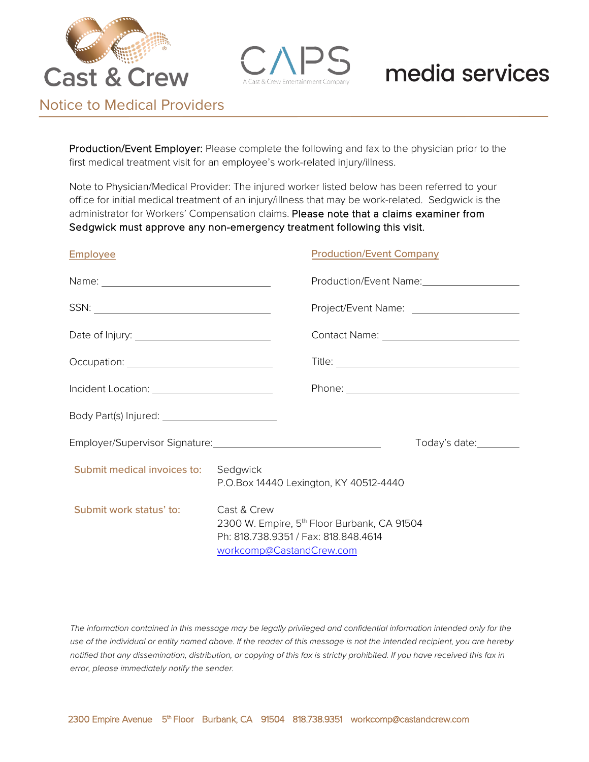



Notice to Medical Providers

Production/Event Employer: Please complete the following and fax to the physician prior to the first medical treatment visit for an employee's work-related injury/illness.

Note to Physician/Medical Provider: The injured worker listed below has been referred to your office for initial medical treatment of an injury/illness that may be work-related. Sedgwick is the administrator for Workers' Compensation claims. Please note that a claims examiner from Sedgwick must approve any non-emergency treatment following this visit.

#### Employee

#### Production/Event Company

|                                             |                                                                                                                                            | Production/Event Name: Manneller Manneller |               |  |
|---------------------------------------------|--------------------------------------------------------------------------------------------------------------------------------------------|--------------------------------------------|---------------|--|
|                                             |                                                                                                                                            |                                            |               |  |
|                                             |                                                                                                                                            |                                            |               |  |
|                                             |                                                                                                                                            |                                            |               |  |
|                                             |                                                                                                                                            |                                            |               |  |
|                                             |                                                                                                                                            |                                            |               |  |
|                                             |                                                                                                                                            |                                            | Today's date: |  |
| <b>Submit medical invoices to:</b> Sedgwick |                                                                                                                                            | P.O.Box 14440 Lexington, KY 40512-4440     |               |  |
| Submit work status' to:                     | Cast & Crew<br>2300 W. Empire, 5 <sup>th</sup> Floor Burbank, CA 91504<br>Ph: 818.738.9351 / Fax: 818.848.4614<br>workcomp@CastandCrew.com |                                            |               |  |

*The information contained in this message may be legally privileged and confidential information intended only for the use of the individual or entity named above. If the reader of this message is not the intended recipient, you are hereby notified that any dissemination, distribution, or copying of this fax is strictly prohibited. If you have received this fax in error, please immediately notify the sender.*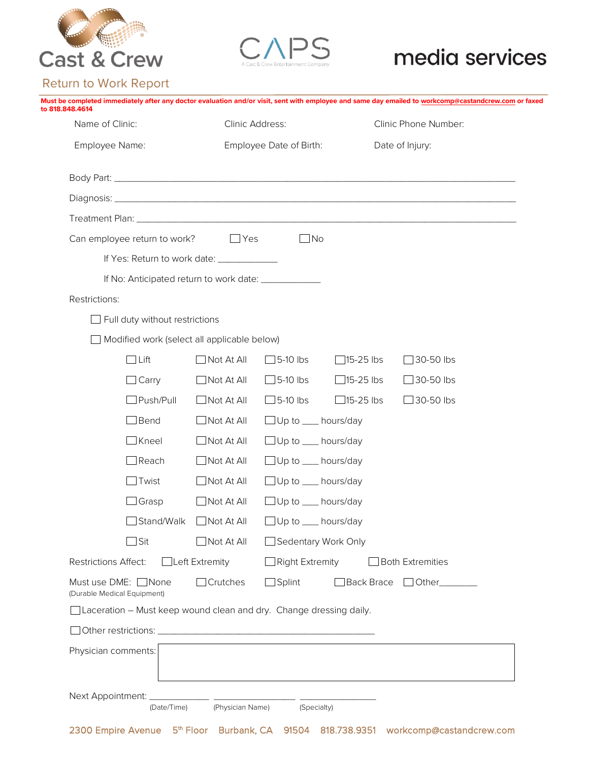



### Return to Work Report

| to 818,848,4614                                     |                                                                    |                                 |                                |                      | Must be completed immediately after any doctor evaluation and/or visit, sent with employee and same day emailed to workcomp@castandcrew.com or faxed |  |
|-----------------------------------------------------|--------------------------------------------------------------------|---------------------------------|--------------------------------|----------------------|------------------------------------------------------------------------------------------------------------------------------------------------------|--|
| Name of Clinic:                                     |                                                                    | Clinic Address:                 |                                | Clinic Phone Number: |                                                                                                                                                      |  |
| Employee Name:                                      |                                                                    | Employee Date of Birth:         |                                | Date of Injury:      |                                                                                                                                                      |  |
|                                                     |                                                                    |                                 |                                |                      |                                                                                                                                                      |  |
|                                                     |                                                                    |                                 |                                |                      |                                                                                                                                                      |  |
|                                                     |                                                                    |                                 |                                |                      |                                                                                                                                                      |  |
|                                                     | Can employee return to work?                                       | $\Box$ Yes                      | $\Box$ No                      |                      |                                                                                                                                                      |  |
|                                                     | If Yes: Return to work date: _____________                         |                                 |                                |                      |                                                                                                                                                      |  |
|                                                     | If No: Anticipated return to work date: ______________             |                                 |                                |                      |                                                                                                                                                      |  |
| Restrictions:                                       |                                                                    |                                 |                                |                      |                                                                                                                                                      |  |
|                                                     | $\Box$ Full duty without restrictions                              |                                 |                                |                      |                                                                                                                                                      |  |
|                                                     | Modified work (select all applicable below)                        |                                 |                                |                      |                                                                                                                                                      |  |
|                                                     | $\Box$ Lift                                                        | $\sqrt{\phantom{a}}$ Not At All | $\Box$ 5-10 lbs                | $\Box$ 15-25 lbs     | 30-50 lbs                                                                                                                                            |  |
|                                                     | $\Box$ Carry                                                       | $\Box$ Not At All               | $\Box$ 5-10 lbs                | $\Box$ 15-25 lbs     | $\Box$ 30-50 lbs                                                                                                                                     |  |
|                                                     | $\Box$ Push/Pull                                                   | $\Box$ Not At All               | $\Box$ 5-10 lbs                | $\Box$ 15-25 lbs     | $\Box$ 30-50 lbs                                                                                                                                     |  |
|                                                     | $\Box$ Bend                                                        | $\Box$ Not At All               | □ Up to <u></u> hours/day      |                      |                                                                                                                                                      |  |
|                                                     | $\Box$ Kneel                                                       | $\Box$ Not At All               | $\Box$ Up to $\_\_\$ hours/day |                      |                                                                                                                                                      |  |
|                                                     | $\Box$ Reach                                                       | $\Box$ Not At All               | $\Box$ Up to $\_\_\$ hours/day |                      |                                                                                                                                                      |  |
|                                                     | Twist                                                              | $\Box$ Not At All               | $\Box$ Up to $\_\_\$ hours/day |                      |                                                                                                                                                      |  |
|                                                     | $\Box$ Grasp                                                       | $\Box$ Not At All               | Up to ___ hours/day            |                      |                                                                                                                                                      |  |
|                                                     | Stand/Walk                                                         | $\Box$ Not At All               | $\Box$ Up to                   | hours/day            |                                                                                                                                                      |  |
|                                                     | $\exists$ Sit                                                      | $\Box$ Not At All               | Sedentary Work Only            |                      |                                                                                                                                                      |  |
| Restrictions Affect:                                |                                                                    | $\Box$ Left Extremity           | $\Box$ Right Extremity         |                      | $\Box$ Both Extremities                                                                                                                              |  |
| Must use DME: □ None<br>(Durable Medical Equipment) |                                                                    | $\Box$ Crutches                 | $\Box$ Splint                  | □ Back Brace         | Other________                                                                                                                                        |  |
|                                                     | Laceration - Must keep wound clean and dry. Change dressing daily. |                                 |                                |                      |                                                                                                                                                      |  |
|                                                     |                                                                    |                                 |                                |                      |                                                                                                                                                      |  |
| Physician comments:                                 |                                                                    |                                 |                                |                      |                                                                                                                                                      |  |
|                                                     | (Date/Time)                                                        |                                 | (Physician Name) (Specialty)   |                      |                                                                                                                                                      |  |
|                                                     |                                                                    |                                 |                                |                      |                                                                                                                                                      |  |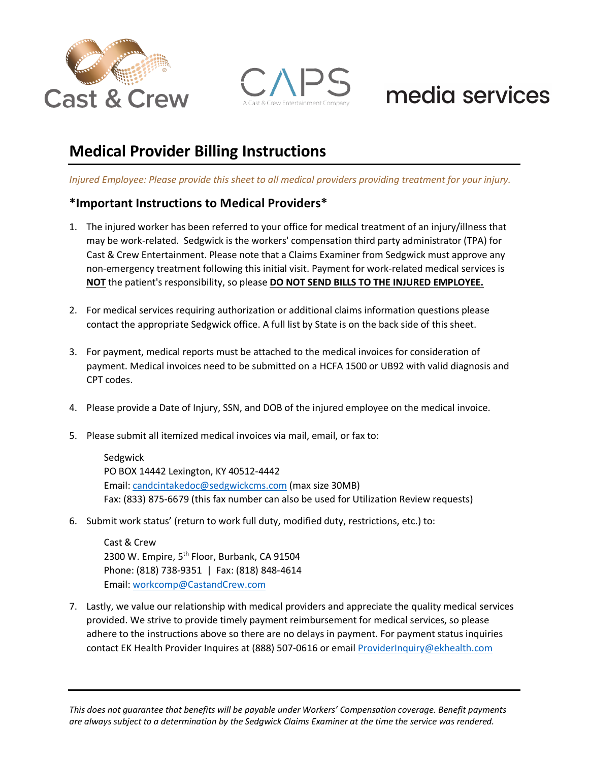



## **Medical Provider Billing Instructions**

*Injured Employee: Please provide this sheet to all medical providers providing treatment for your injury.*

#### **\*Important Instructions to Medical Providers\***

- 1. The injured worker has been referred to your office for medical treatment of an injury/illness that may be work-related. Sedgwick is the workers' compensation third party administrator (TPA) for Cast & Crew Entertainment. Please note that a Claims Examiner from Sedgwick must approve any non-emergency treatment following this initial visit. Payment for work-related medical services is **NOT** the patient's responsibility, so please **DO NOT SEND BILLS TO THE INJURED EMPLOYEE.**
- 2. For medical services requiring authorization or additional claims information questions please contact the appropriate Sedgwick office. A full list by State is on the back side of this sheet.
- 3. For payment, medical reports must be attached to the medical invoices for consideration of payment. Medical invoices need to be submitted on a HCFA 1500 or UB92 with valid diagnosis and CPT codes.
- 4. Please provide a Date of Injury, SSN, and DOB of the injured employee on the medical invoice.
- 5. Please submit all itemized medical invoices via mail, email, or fax to:

Sedgwick PO BOX 14442 Lexington, KY 40512-4442 Email: [candcintakedoc@sedgwickcms.com](mailto:candcintakedoc@sedgwickcms.com) (max size 30MB) Fax: (833) 875-6679 (this fax number can also be used for Utilization Review requests)

6. Submit work status' (return to work full duty, modified duty, restrictions, etc.) to:

Cast & Crew 2300 W. Empire, 5<sup>th</sup> Floor, Burbank, CA 91504 Phone: (818) 738-9351 | Fax: (818) 848-4614 Email: [workcomp@CastandCrew.com](mailto:workcomp@CastandCrew.com)

7. Lastly, we value our relationship with medical providers and appreciate the quality medical services provided. We strive to provide timely payment reimbursement for medical services, so please adhere to the instructions above so there are no delays in payment. For payment status inquiries contact EK Health Provider Inquires at (888) 507-0616 or email [ProviderInquiry@ekhealth.com](mailto:ProviderInquiry@ekhealth.com)